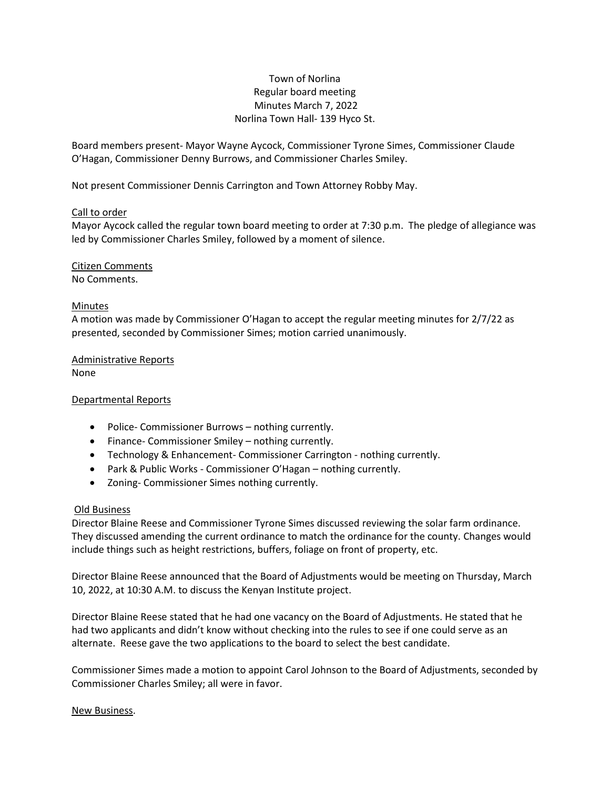## Town of Norlina Regular board meeting Minutes March 7, 2022 Norlina Town Hall- 139 Hyco St.

Board members present- Mayor Wayne Aycock, Commissioner Tyrone Simes, Commissioner Claude O'Hagan, Commissioner Denny Burrows, and Commissioner Charles Smiley.

Not present Commissioner Dennis Carrington and Town Attorney Robby May.

#### Call to order

Mayor Aycock called the regular town board meeting to order at 7:30 p.m. The pledge of allegiance was led by Commissioner Charles Smiley, followed by a moment of silence.

# Citizen Comments

No Comments.

### Minutes

A motion was made by Commissioner O'Hagan to accept the regular meeting minutes for 2/7/22 as presented, seconded by Commissioner Simes; motion carried unanimously.

Administrative Reports None

#### Departmental Reports

- Police- Commissioner Burrows nothing currently.
- Finance- Commissioner Smiley nothing currently.
- Technology & Enhancement- Commissioner Carrington nothing currently.
- Park & Public Works Commissioner O'Hagan nothing currently.
- Zoning- Commissioner Simes nothing currently.

### Old Business

Director Blaine Reese and Commissioner Tyrone Simes discussed reviewing the solar farm ordinance. They discussed amending the current ordinance to match the ordinance for the county. Changes would include things such as height restrictions, buffers, foliage on front of property, etc.

Director Blaine Reese announced that the Board of Adjustments would be meeting on Thursday, March 10, 2022, at 10:30 A.M. to discuss the Kenyan Institute project.

Director Blaine Reese stated that he had one vacancy on the Board of Adjustments. He stated that he had two applicants and didn't know without checking into the rules to see if one could serve as an alternate. Reese gave the two applications to the board to select the best candidate.

Commissioner Simes made a motion to appoint Carol Johnson to the Board of Adjustments, seconded by Commissioner Charles Smiley; all were in favor.

#### New Business.